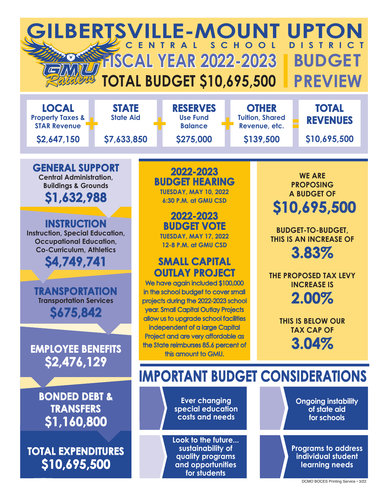